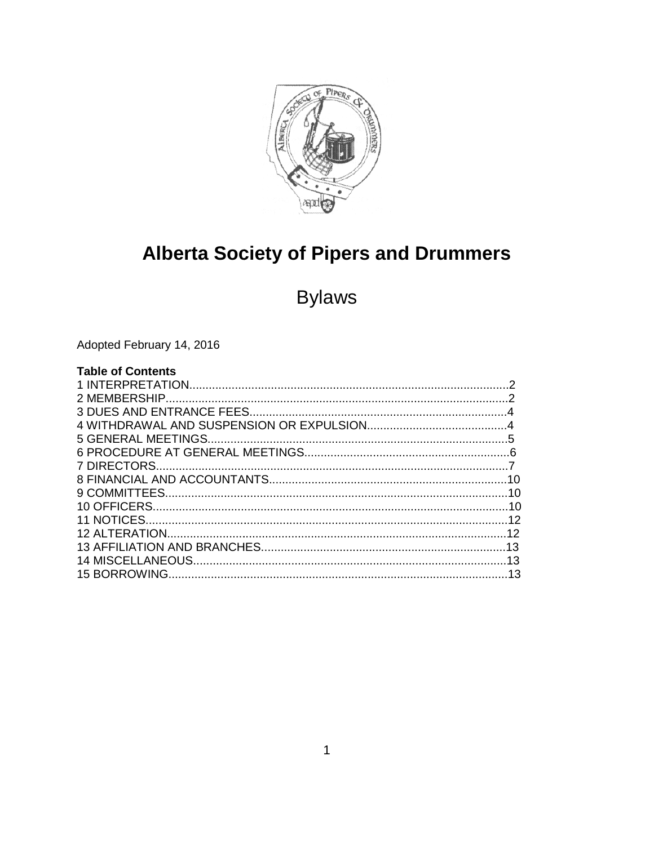

# **Alberta Society of Pipers and Drummers**

# **Bylaws**

Adopted February 14, 2016

| <b>Table of Contents</b> |  |
|--------------------------|--|
|                          |  |
|                          |  |
|                          |  |
|                          |  |
|                          |  |
|                          |  |
|                          |  |
|                          |  |
|                          |  |
|                          |  |
|                          |  |
|                          |  |
|                          |  |
|                          |  |
|                          |  |
|                          |  |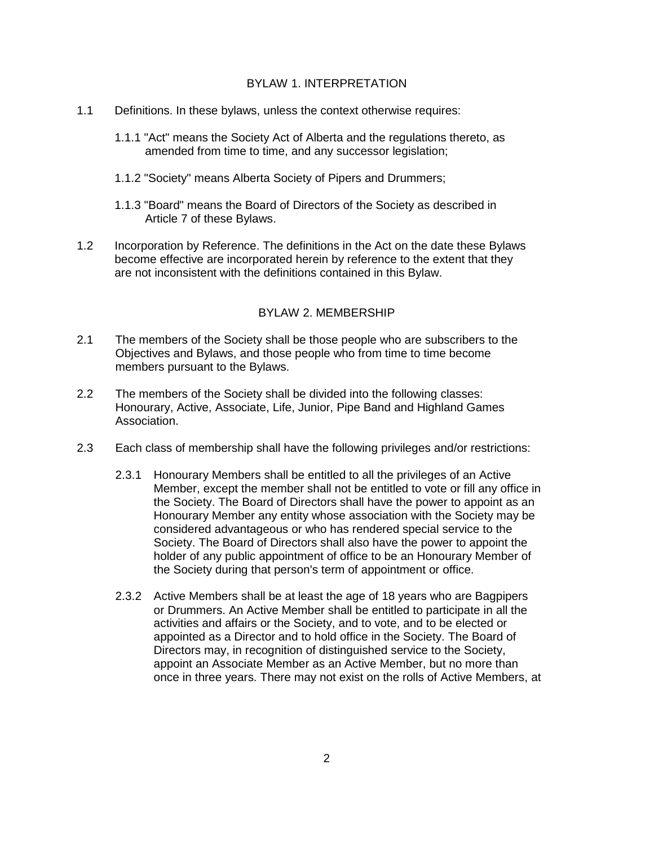### BYLAW 1. INTERPRETATION

- 1.1 Definitions. In these bylaws, unless the context otherwise requires:
	- 1.1.1 "Act" means the Society Act of Alberta and the regulations thereto, as amended from time to time, and any successor legislation;
	- 1.1.2 "Society" means Alberta Society of Pipers and Drummers;
	- 1.1.3 "Board" means the Board of Directors of the Society as described in Article 7 of these Bylaws.
- 1.2 Incorporation by Reference. The definitions in the Act on the date these Bylaws become effective are incorporated herein by reference to the extent that they are not inconsistent with the definitions contained in this Bylaw.

# BYLAW 2. MEMBERSHIP

- 2.1 The members of the Society shall be those people who are subscribers to the Objectives and Bylaws, and those people who from time to time become members pursuant to the Bylaws.
- 2.2 The members of the Society shall be divided into the following classes: Honourary, Active, Associate, Life, Junior, Pipe Band and Highland Games Association.
- 2.3 Each class of membership shall have the following privileges and/or restrictions:
	- 2.3.1 Honourary Members shall be entitled to all the privileges of an Active Member, except the member shall not be entitled to vote or fill any office in the Society. The Board of Directors shall have the power to appoint as an Honourary Member any entity whose association with the Society may be considered advantageous or who has rendered special service to the Society. The Board of Directors shall also have the power to appoint the holder of any public appointment of office to be an Honourary Member of the Society during that person's term of appointment or office.
	- 2.3.2 Active Members shall be at least the age of 18 years who are Bagpipers or Drummers. An Active Member shall be entitled to participate in all the activities and affairs or the Society, and to vote, and to be elected or appointed as a Director and to hold office in the Society. The Board of Directors may, in recognition of distinguished service to the Society, appoint an Associate Member as an Active Member, but no more than once in three years. There may not exist on the rolls of Active Members, at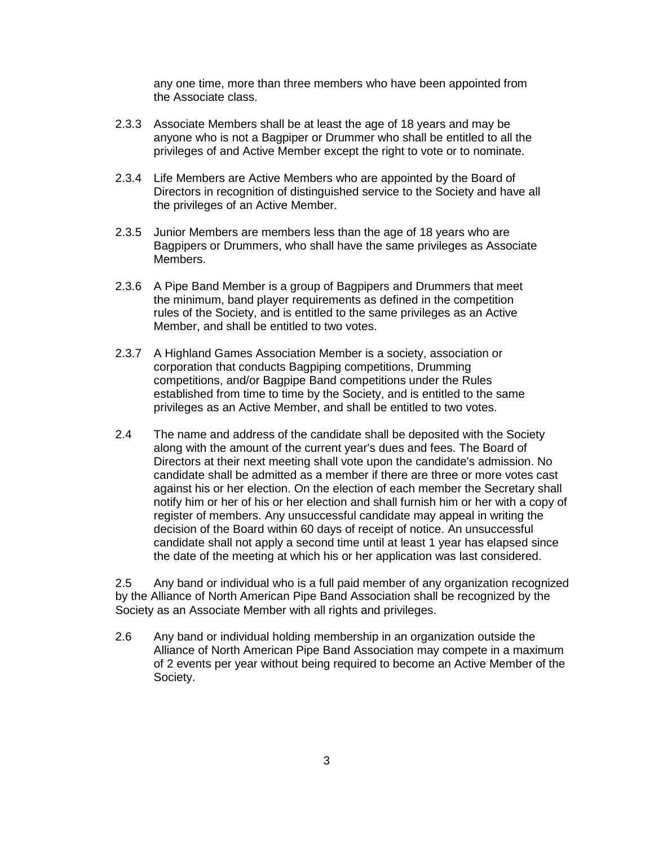any one time, more than three members who have been appointed from the Associate class.

- 2.3.3 Associate Members shall be at least the age of 18 years and may be anyone who is not a Bagpiper or Drummer who shall be entitled to all the privileges of and Active Member except the right to vote or to nominate.
- 2.3.4 Life Members are Active Members who are appointed by the Board of Directors in recognition of distinguished service to the Society and have all the privileges of an Active Member.
- 2.3.5 Junior Members are members less than the age of 18 years who are Bagpipers or Drummers, who shall have the same privileges as Associate Members.
- 2.3.6 A Pipe Band Member is a group of Bagpipers and Drummers that meet the minimum, band player requirements as defined in the competition rules of the Society, and is entitled to the same privileges as an Active Member, and shall be entitled to two votes.
- 2.3.7 A Highland Games Association Member is a society, association or corporation that conducts Bagpiping competitions, Drumming competitions, and/or Bagpipe Band competitions under the Rules established from time to time by the Society, and is entitled to the same privileges as an Active Member, and shall be entitled to two votes.
- 2.4 The name and address of the candidate shall be deposited with the Society along with the amount of the current year's dues and fees. The Board of Directors at their next meeting shall vote upon the candidate's admission. No candidate shall be admitted as a member if there are three or more votes cast against his or her election. On the election of each member the Secretary shall notify him or her of his or her election and shall furnish him or her with a copy of register of members. Any unsuccessful candidate may appeal in writing the decision of the Board within 60 days of receipt of notice. An unsuccessful candidate shall not apply a second time until at least 1 year has elapsed since the date of the meeting at which his or her application was last considered.

2.5 Any band or individual who is a full paid member of any organization recognized by the Alliance of North American Pipe Band Association shall be recognized by the Society as an Associate Member with all rights and privileges.

2.6 Any band or individual holding membership in an organization outside the Alliance of North American Pipe Band Association may compete in a maximum of 2 events per year without being required to become an Active Member of the Society.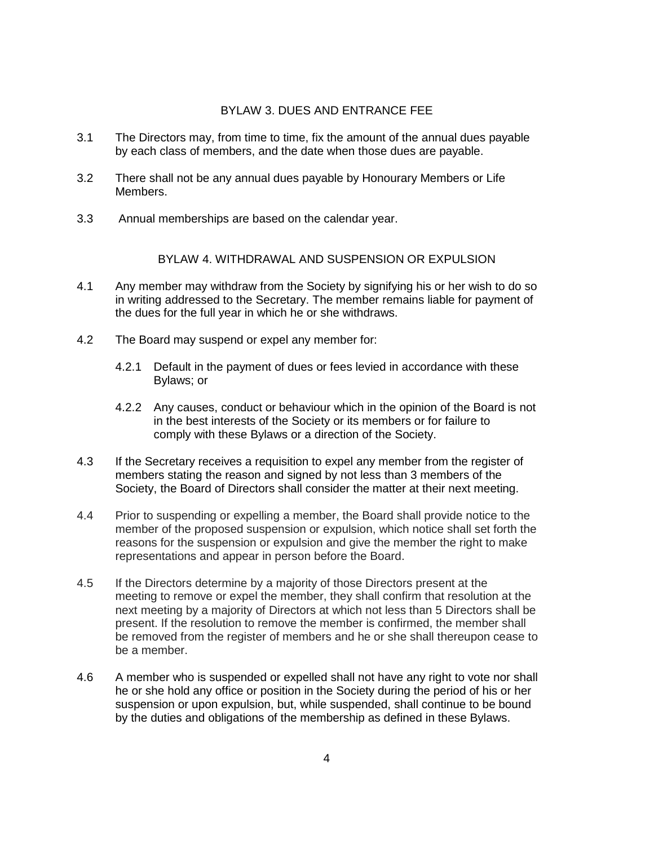#### BYLAW 3. DUES AND ENTRANCE FEE

- 3.1 The Directors may, from time to time, fix the amount of the annual dues payable by each class of members, and the date when those dues are payable.
- 3.2 There shall not be any annual dues payable by Honourary Members or Life Members.
- 3.3 Annual memberships are based on the calendar year.

#### BYLAW 4. WITHDRAWAL AND SUSPENSION OR EXPULSION

- 4.1 Any member may withdraw from the Society by signifying his or her wish to do so in writing addressed to the Secretary. The member remains liable for payment of the dues for the full year in which he or she withdraws.
- 4.2 The Board may suspend or expel any member for:
	- 4.2.1 Default in the payment of dues or fees levied in accordance with these Bylaws; or
	- 4.2.2 Any causes, conduct or behaviour which in the opinion of the Board is not in the best interests of the Society or its members or for failure to comply with these Bylaws or a direction of the Society.
- 4.3 If the Secretary receives a requisition to expel any member from the register of members stating the reason and signed by not less than 3 members of the Society, the Board of Directors shall consider the matter at their next meeting.
- 4.4 Prior to suspending or expelling a member, the Board shall provide notice to the member of the proposed suspension or expulsion, which notice shall set forth the reasons for the suspension or expulsion and give the member the right to make representations and appear in person before the Board.
- 4.5 If the Directors determine by a majority of those Directors present at the meeting to remove or expel the member, they shall confirm that resolution at the next meeting by a majority of Directors at which not less than 5 Directors shall be present. If the resolution to remove the member is confirmed, the member shall be removed from the register of members and he or she shall thereupon cease to be a member.
- 4.6 A member who is suspended or expelled shall not have any right to vote nor shall he or she hold any office or position in the Society during the period of his or her suspension or upon expulsion, but, while suspended, shall continue to be bound by the duties and obligations of the membership as defined in these Bylaws.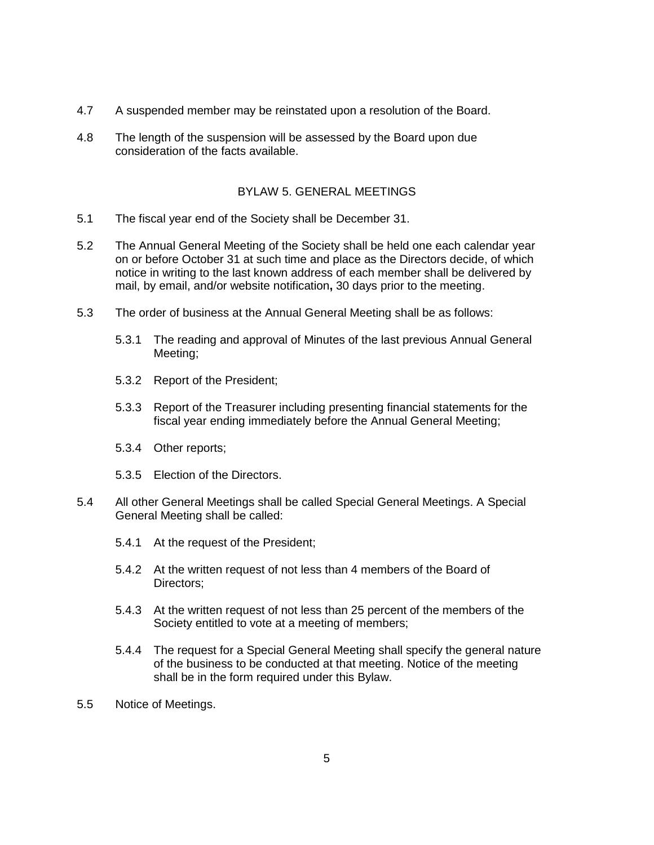- 4.7 A suspended member may be reinstated upon a resolution of the Board.
- 4.8 The length of the suspension will be assessed by the Board upon due consideration of the facts available.

# BYLAW 5. GENERAL MEETINGS

- 5.1 The fiscal year end of the Society shall be December 31.
- 5.2 The Annual General Meeting of the Society shall be held one each calendar year on or before October 31 at such time and place as the Directors decide, of which notice in writing to the last known address of each member shall be delivered by mail, by email, and/or website notification**,** 30 days prior to the meeting.
- 5.3 The order of business at the Annual General Meeting shall be as follows:
	- 5.3.1 The reading and approval of Minutes of the last previous Annual General Meeting;
	- 5.3.2 Report of the President;
	- 5.3.3 Report of the Treasurer including presenting financial statements for the fiscal year ending immediately before the Annual General Meeting;
	- 5.3.4 Other reports;
	- 5.3.5 Election of the Directors.
- 5.4 All other General Meetings shall be called Special General Meetings. A Special General Meeting shall be called:
	- 5.4.1 At the request of the President;
	- 5.4.2 At the written request of not less than 4 members of the Board of Directors;
	- 5.4.3 At the written request of not less than 25 percent of the members of the Society entitled to vote at a meeting of members;
	- 5.4.4 The request for a Special General Meeting shall specify the general nature of the business to be conducted at that meeting. Notice of the meeting shall be in the form required under this Bylaw.
- 5.5 Notice of Meetings.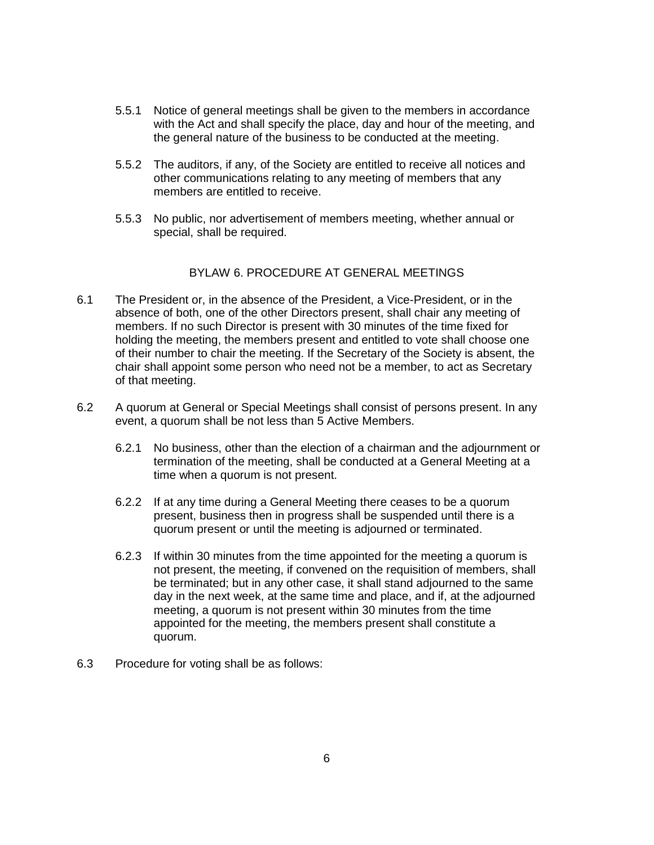- 5.5.1 Notice of general meetings shall be given to the members in accordance with the Act and shall specify the place, day and hour of the meeting, and the general nature of the business to be conducted at the meeting.
- 5.5.2 The auditors, if any, of the Society are entitled to receive all notices and other communications relating to any meeting of members that any members are entitled to receive.
- 5.5.3 No public, nor advertisement of members meeting, whether annual or special, shall be required.

# BYLAW 6. PROCEDURE AT GENERAL MEETINGS

- 6.1 The President or, in the absence of the President, a Vice-President, or in the absence of both, one of the other Directors present, shall chair any meeting of members. If no such Director is present with 30 minutes of the time fixed for holding the meeting, the members present and entitled to vote shall choose one of their number to chair the meeting. If the Secretary of the Society is absent, the chair shall appoint some person who need not be a member, to act as Secretary of that meeting.
- 6.2 A quorum at General or Special Meetings shall consist of persons present. In any event, a quorum shall be not less than 5 Active Members.
	- 6.2.1 No business, other than the election of a chairman and the adjournment or termination of the meeting, shall be conducted at a General Meeting at a time when a quorum is not present.
	- 6.2.2 If at any time during a General Meeting there ceases to be a quorum present, business then in progress shall be suspended until there is a quorum present or until the meeting is adjourned or terminated.
	- 6.2.3 If within 30 minutes from the time appointed for the meeting a quorum is not present, the meeting, if convened on the requisition of members, shall be terminated; but in any other case, it shall stand adjourned to the same day in the next week, at the same time and place, and if, at the adjourned meeting, a quorum is not present within 30 minutes from the time appointed for the meeting, the members present shall constitute a quorum.
- 6.3 Procedure for voting shall be as follows: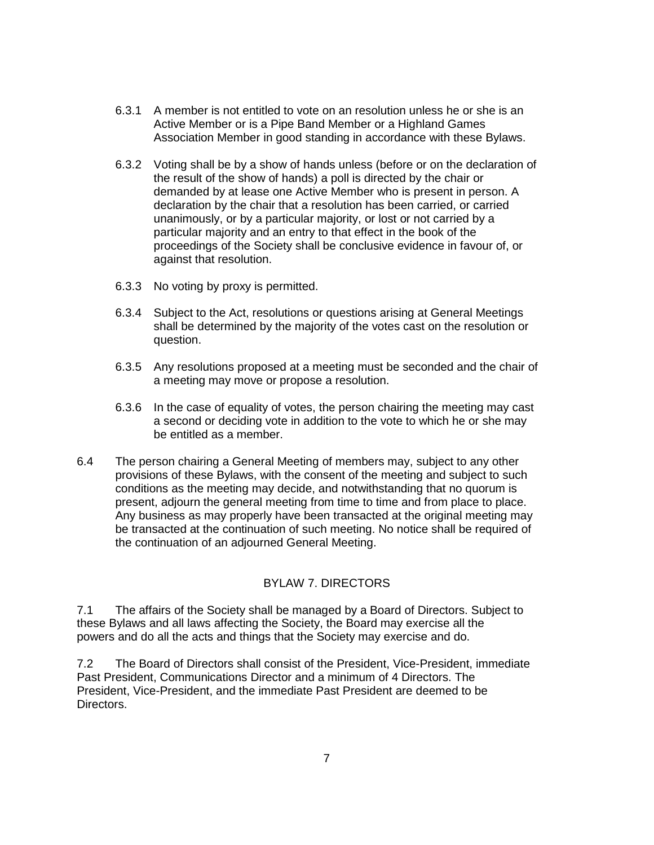- 6.3.1 A member is not entitled to vote on an resolution unless he or she is an Active Member or is a Pipe Band Member or a Highland Games Association Member in good standing in accordance with these Bylaws.
- 6.3.2 Voting shall be by a show of hands unless (before or on the declaration of the result of the show of hands) a poll is directed by the chair or demanded by at lease one Active Member who is present in person. A declaration by the chair that a resolution has been carried, or carried unanimously, or by a particular majority, or lost or not carried by a particular majority and an entry to that effect in the book of the proceedings of the Society shall be conclusive evidence in favour of, or against that resolution.
- 6.3.3 No voting by proxy is permitted.
- 6.3.4 Subject to the Act, resolutions or questions arising at General Meetings shall be determined by the majority of the votes cast on the resolution or question.
- 6.3.5 Any resolutions proposed at a meeting must be seconded and the chair of a meeting may move or propose a resolution.
- 6.3.6 In the case of equality of votes, the person chairing the meeting may cast a second or deciding vote in addition to the vote to which he or she may be entitled as a member.
- 6.4 The person chairing a General Meeting of members may, subject to any other provisions of these Bylaws, with the consent of the meeting and subject to such conditions as the meeting may decide, and notwithstanding that no quorum is present, adjourn the general meeting from time to time and from place to place. Any business as may properly have been transacted at the original meeting may be transacted at the continuation of such meeting. No notice shall be required of the continuation of an adjourned General Meeting.

# BYLAW 7. DIRECTORS

7.1 The affairs of the Society shall be managed by a Board of Directors. Subject to these Bylaws and all laws affecting the Society, the Board may exercise all the powers and do all the acts and things that the Society may exercise and do.

7.2 The Board of Directors shall consist of the President, Vice-President, immediate Past President, Communications Director and a minimum of 4 Directors. The President, Vice-President, and the immediate Past President are deemed to be Directors.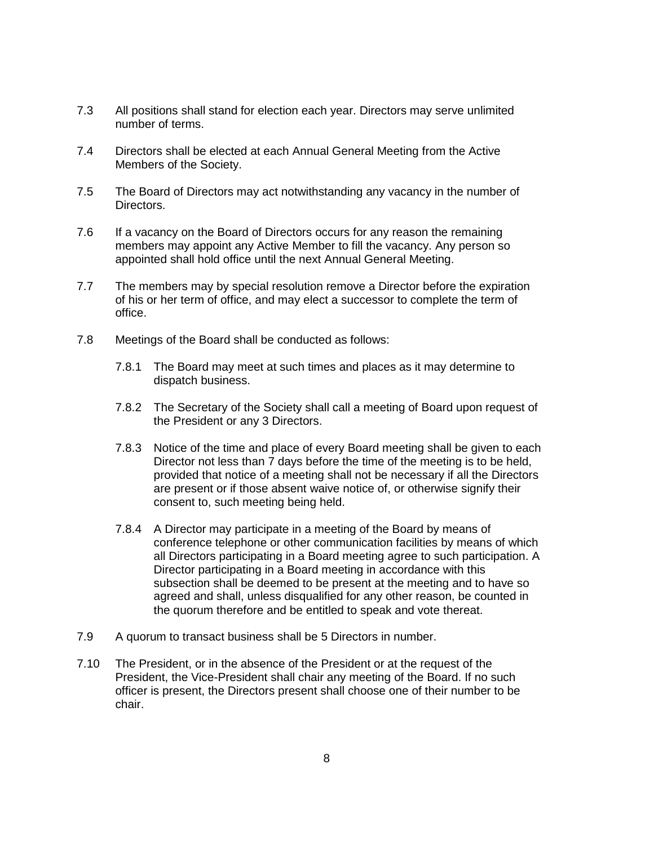- 7.3 All positions shall stand for election each year. Directors may serve unlimited number of terms.
- 7.4 Directors shall be elected at each Annual General Meeting from the Active Members of the Society.
- 7.5 The Board of Directors may act notwithstanding any vacancy in the number of Directors.
- 7.6 If a vacancy on the Board of Directors occurs for any reason the remaining members may appoint any Active Member to fill the vacancy. Any person so appointed shall hold office until the next Annual General Meeting.
- 7.7 The members may by special resolution remove a Director before the expiration of his or her term of office, and may elect a successor to complete the term of office.
- 7.8 Meetings of the Board shall be conducted as follows:
	- 7.8.1 The Board may meet at such times and places as it may determine to dispatch business.
	- 7.8.2 The Secretary of the Society shall call a meeting of Board upon request of the President or any 3 Directors.
	- 7.8.3 Notice of the time and place of every Board meeting shall be given to each Director not less than 7 days before the time of the meeting is to be held, provided that notice of a meeting shall not be necessary if all the Directors are present or if those absent waive notice of, or otherwise signify their consent to, such meeting being held.
	- 7.8.4 A Director may participate in a meeting of the Board by means of conference telephone or other communication facilities by means of which all Directors participating in a Board meeting agree to such participation. A Director participating in a Board meeting in accordance with this subsection shall be deemed to be present at the meeting and to have so agreed and shall, unless disqualified for any other reason, be counted in the quorum therefore and be entitled to speak and vote thereat.
- 7.9 A quorum to transact business shall be 5 Directors in number.
- 7.10 The President, or in the absence of the President or at the request of the President, the Vice-President shall chair any meeting of the Board. If no such officer is present, the Directors present shall choose one of their number to be chair.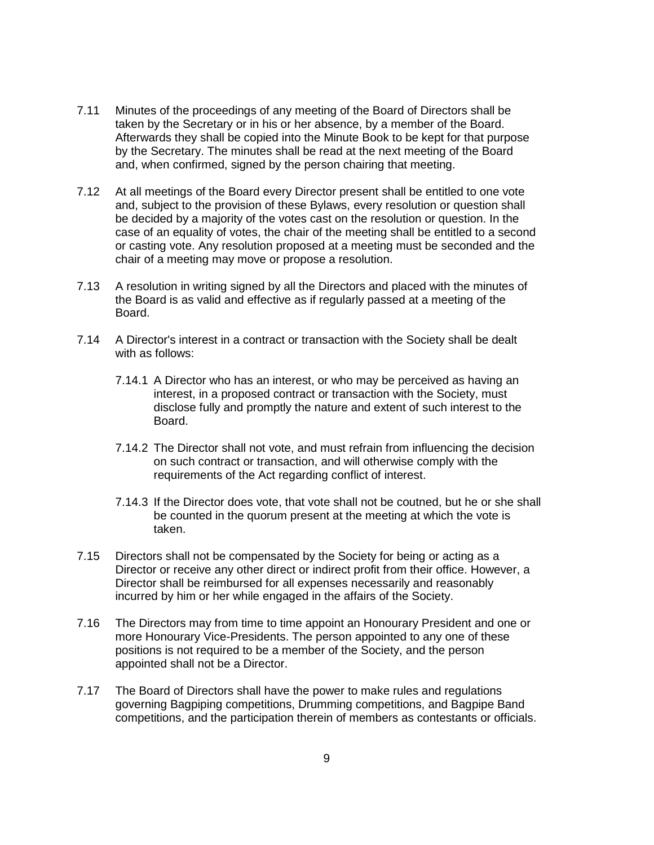- 7.11 Minutes of the proceedings of any meeting of the Board of Directors shall be taken by the Secretary or in his or her absence, by a member of the Board. Afterwards they shall be copied into the Minute Book to be kept for that purpose by the Secretary. The minutes shall be read at the next meeting of the Board and, when confirmed, signed by the person chairing that meeting.
- 7.12 At all meetings of the Board every Director present shall be entitled to one vote and, subject to the provision of these Bylaws, every resolution or question shall be decided by a majority of the votes cast on the resolution or question. In the case of an equality of votes, the chair of the meeting shall be entitled to a second or casting vote. Any resolution proposed at a meeting must be seconded and the chair of a meeting may move or propose a resolution.
- 7.13 A resolution in writing signed by all the Directors and placed with the minutes of the Board is as valid and effective as if regularly passed at a meeting of the Board.
- 7.14 A Director's interest in a contract or transaction with the Society shall be dealt with as follows:
	- 7.14.1 A Director who has an interest, or who may be perceived as having an interest, in a proposed contract or transaction with the Society, must disclose fully and promptly the nature and extent of such interest to the Board.
	- 7.14.2 The Director shall not vote, and must refrain from influencing the decision on such contract or transaction, and will otherwise comply with the requirements of the Act regarding conflict of interest.
	- 7.14.3 If the Director does vote, that vote shall not be coutned, but he or she shall be counted in the quorum present at the meeting at which the vote is taken.
- 7.15 Directors shall not be compensated by the Society for being or acting as a Director or receive any other direct or indirect profit from their office. However, a Director shall be reimbursed for all expenses necessarily and reasonably incurred by him or her while engaged in the affairs of the Society.
- 7.16 The Directors may from time to time appoint an Honourary President and one or more Honourary Vice-Presidents. The person appointed to any one of these positions is not required to be a member of the Society, and the person appointed shall not be a Director.
- 7.17 The Board of Directors shall have the power to make rules and regulations governing Bagpiping competitions, Drumming competitions, and Bagpipe Band competitions, and the participation therein of members as contestants or officials.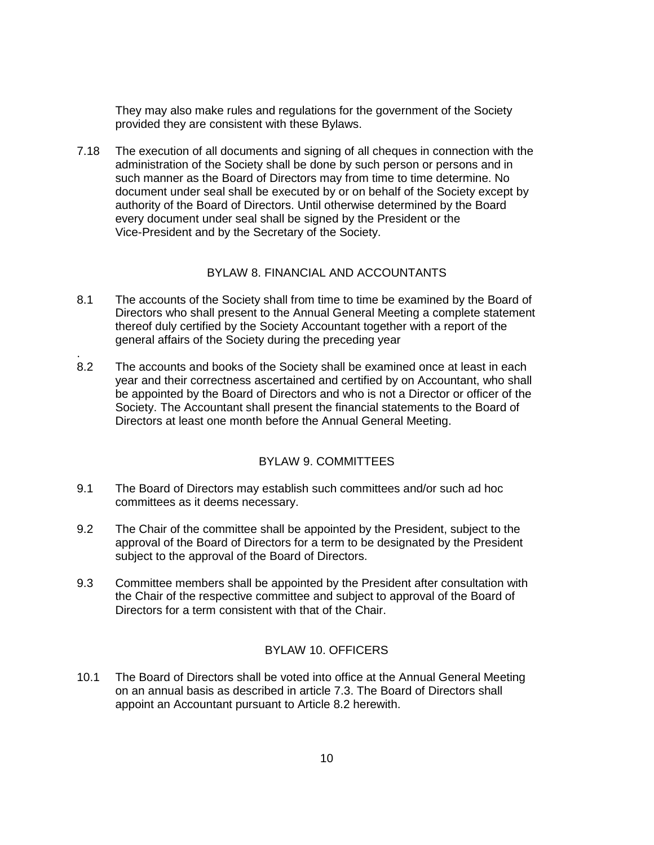They may also make rules and regulations for the government of the Society provided they are consistent with these Bylaws.

7.18 The execution of all documents and signing of all cheques in connection with the administration of the Society shall be done by such person or persons and in such manner as the Board of Directors may from time to time determine. No document under seal shall be executed by or on behalf of the Society except by authority of the Board of Directors. Until otherwise determined by the Board every document under seal shall be signed by the President or the Vice-President and by the Secretary of the Society.

# BYLAW 8. FINANCIAL AND ACCOUNTANTS

- 8.1 The accounts of the Society shall from time to time be examined by the Board of Directors who shall present to the Annual General Meeting a complete statement thereof duly certified by the Society Accountant together with a report of the general affairs of the Society during the preceding year
- 8.2 The accounts and books of the Society shall be examined once at least in each year and their correctness ascertained and certified by on Accountant, who shall be appointed by the Board of Directors and who is not a Director or officer of the Society. The Accountant shall present the financial statements to the Board of Directors at least one month before the Annual General Meeting.

.

# BYLAW 9. COMMITTEES

- 9.1 The Board of Directors may establish such committees and/or such ad hoc committees as it deems necessary.
- 9.2 The Chair of the committee shall be appointed by the President, subject to the approval of the Board of Directors for a term to be designated by the President subject to the approval of the Board of Directors.
- 9.3 Committee members shall be appointed by the President after consultation with the Chair of the respective committee and subject to approval of the Board of Directors for a term consistent with that of the Chair.

# BYLAW 10. OFFICERS

10.1 The Board of Directors shall be voted into office at the Annual General Meeting on an annual basis as described in article 7.3. The Board of Directors shall appoint an Accountant pursuant to Article 8.2 herewith.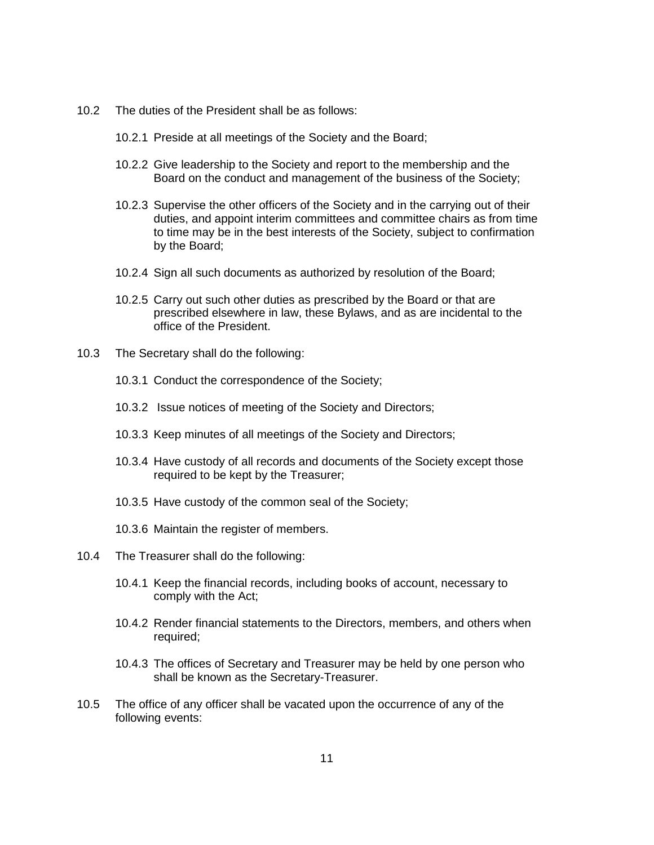- 10.2 The duties of the President shall be as follows:
	- 10.2.1 Preside at all meetings of the Society and the Board;
	- 10.2.2 Give leadership to the Society and report to the membership and the Board on the conduct and management of the business of the Society;
	- 10.2.3 Supervise the other officers of the Society and in the carrying out of their duties, and appoint interim committees and committee chairs as from time to time may be in the best interests of the Society, subject to confirmation by the Board;
	- 10.2.4 Sign all such documents as authorized by resolution of the Board;
	- 10.2.5 Carry out such other duties as prescribed by the Board or that are prescribed elsewhere in law, these Bylaws, and as are incidental to the office of the President.
- 10.3 The Secretary shall do the following:
	- 10.3.1 Conduct the correspondence of the Society;
	- 10.3.2 Issue notices of meeting of the Society and Directors;
	- 10.3.3 Keep minutes of all meetings of the Society and Directors;
	- 10.3.4 Have custody of all records and documents of the Society except those required to be kept by the Treasurer;
	- 10.3.5 Have custody of the common seal of the Society;
	- 10.3.6 Maintain the register of members.
- 10.4 The Treasurer shall do the following:
	- 10.4.1 Keep the financial records, including books of account, necessary to comply with the Act;
	- 10.4.2 Render financial statements to the Directors, members, and others when required;
	- 10.4.3 The offices of Secretary and Treasurer may be held by one person who shall be known as the Secretary-Treasurer.
- 10.5 The office of any officer shall be vacated upon the occurrence of any of the following events: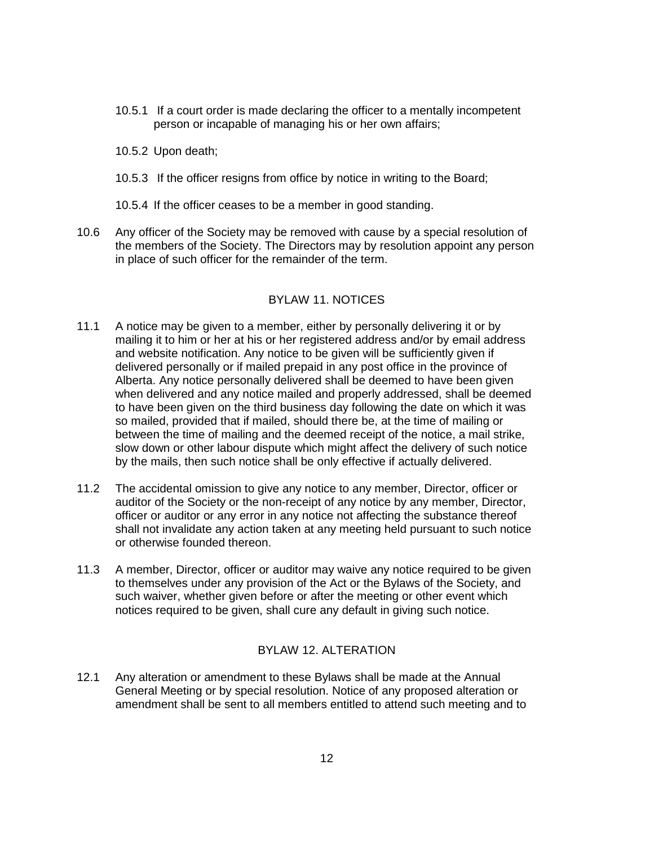- 10.5.1 If a court order is made declaring the officer to a mentally incompetent person or incapable of managing his or her own affairs;
- 10.5.2 Upon death;
- 10.5.3 If the officer resigns from office by notice in writing to the Board;
- 10.5.4 If the officer ceases to be a member in good standing.
- 10.6 Any officer of the Society may be removed with cause by a special resolution of the members of the Society. The Directors may by resolution appoint any person in place of such officer for the remainder of the term.

# BYLAW 11. NOTICES

- 11.1 A notice may be given to a member, either by personally delivering it or by mailing it to him or her at his or her registered address and/or by email address and website notification. Any notice to be given will be sufficiently given if delivered personally or if mailed prepaid in any post office in the province of Alberta. Any notice personally delivered shall be deemed to have been given when delivered and any notice mailed and properly addressed, shall be deemed to have been given on the third business day following the date on which it was so mailed, provided that if mailed, should there be, at the time of mailing or between the time of mailing and the deemed receipt of the notice, a mail strike, slow down or other labour dispute which might affect the delivery of such notice by the mails, then such notice shall be only effective if actually delivered.
- 11.2 The accidental omission to give any notice to any member, Director, officer or auditor of the Society or the non-receipt of any notice by any member, Director, officer or auditor or any error in any notice not affecting the substance thereof shall not invalidate any action taken at any meeting held pursuant to such notice or otherwise founded thereon.
- 11.3 A member, Director, officer or auditor may waive any notice required to be given to themselves under any provision of the Act or the Bylaws of the Society, and such waiver, whether given before or after the meeting or other event which notices required to be given, shall cure any default in giving such notice.

## BYLAW 12. ALTERATION

12.1 Any alteration or amendment to these Bylaws shall be made at the Annual General Meeting or by special resolution. Notice of any proposed alteration or amendment shall be sent to all members entitled to attend such meeting and to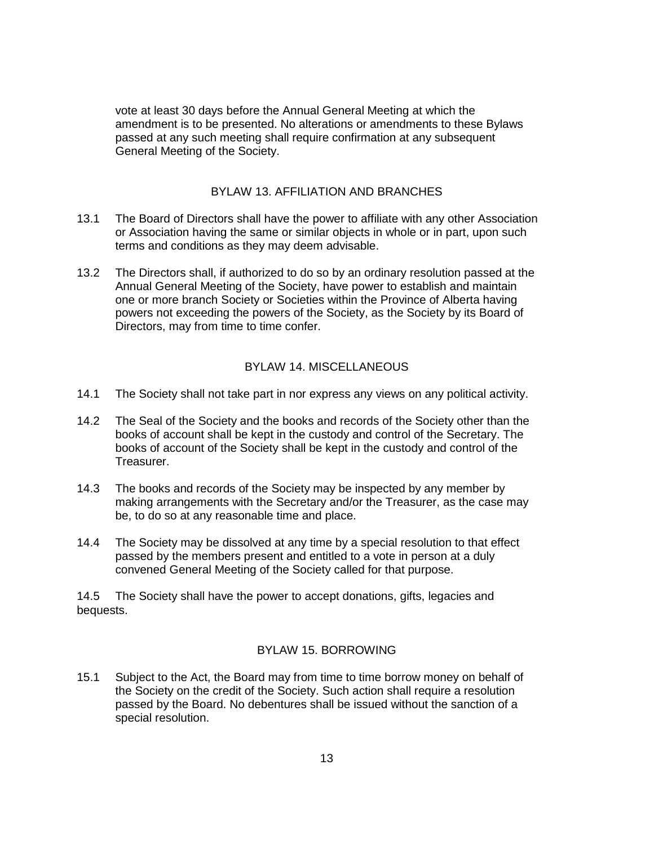vote at least 30 days before the Annual General Meeting at which the amendment is to be presented. No alterations or amendments to these Bylaws passed at any such meeting shall require confirmation at any subsequent General Meeting of the Society.

### BYLAW 13. AFFILIATION AND BRANCHES

- 13.1 The Board of Directors shall have the power to affiliate with any other Association or Association having the same or similar objects in whole or in part, upon such terms and conditions as they may deem advisable.
- 13.2 The Directors shall, if authorized to do so by an ordinary resolution passed at the Annual General Meeting of the Society, have power to establish and maintain one or more branch Society or Societies within the Province of Alberta having powers not exceeding the powers of the Society, as the Society by its Board of Directors, may from time to time confer.

# BYLAW 14. MISCELLANEOUS

- 14.1 The Society shall not take part in nor express any views on any political activity.
- 14.2 The Seal of the Society and the books and records of the Society other than the books of account shall be kept in the custody and control of the Secretary. The books of account of the Society shall be kept in the custody and control of the Treasurer.
- 14.3 The books and records of the Society may be inspected by any member by making arrangements with the Secretary and/or the Treasurer, as the case may be, to do so at any reasonable time and place.
- 14.4 The Society may be dissolved at any time by a special resolution to that effect passed by the members present and entitled to a vote in person at a duly convened General Meeting of the Society called for that purpose.

14.5 The Society shall have the power to accept donations, gifts, legacies and bequests.

#### BYLAW 15. BORROWING

15.1 Subject to the Act, the Board may from time to time borrow money on behalf of the Society on the credit of the Society. Such action shall require a resolution passed by the Board. No debentures shall be issued without the sanction of a special resolution.